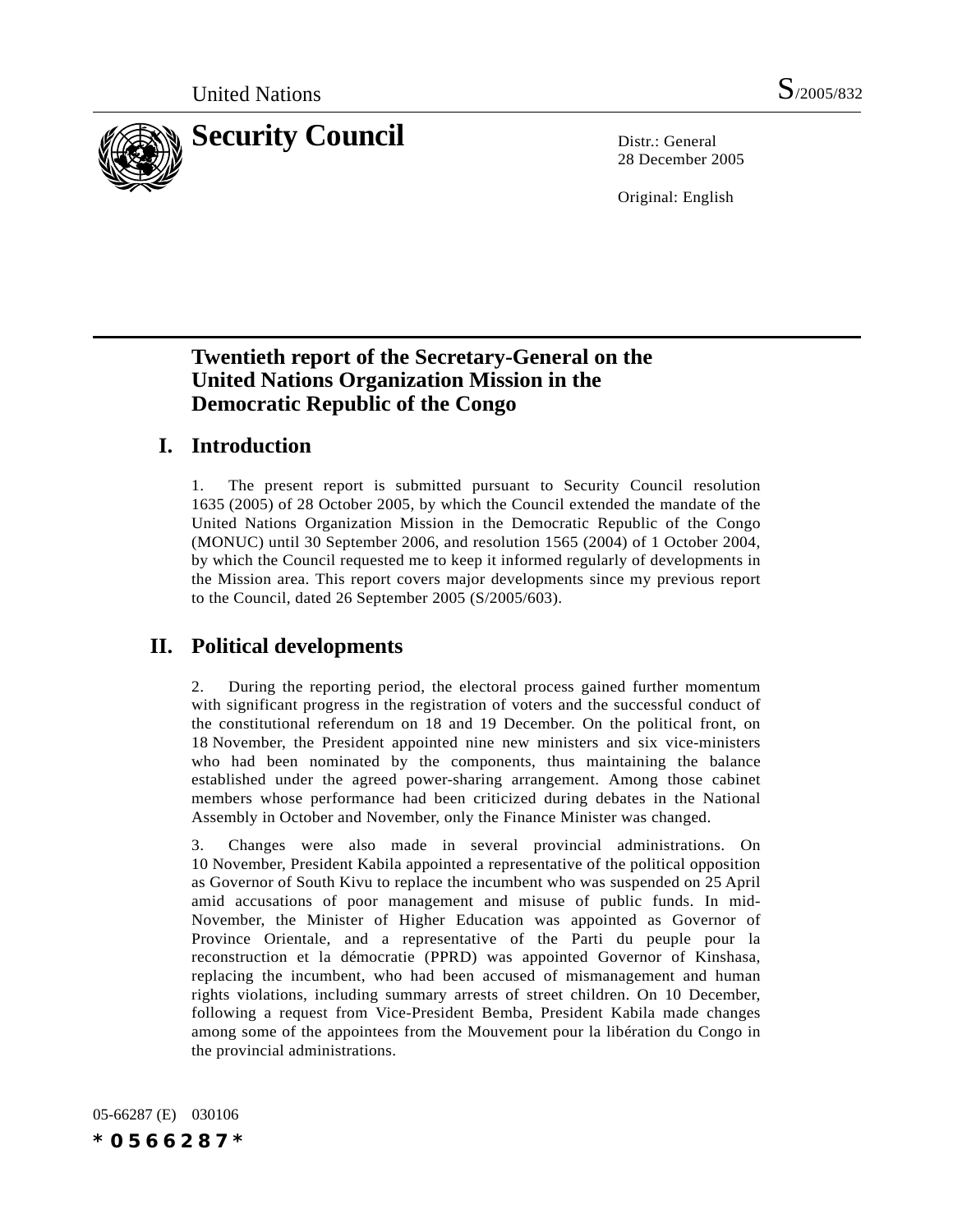

28 December 2005

Original: English

# **Twentieth report of the Secretary-General on the United Nations Organization Mission in the Democratic Republic of the Congo**

# **I. Introduction**

1. The present report is submitted pursuant to Security Council resolution 1635 (2005) of 28 October 2005, by which the Council extended the mandate of the United Nations Organization Mission in the Democratic Republic of the Congo (MONUC) until 30 September 2006, and resolution 1565 (2004) of 1 October 2004, by which the Council requested me to keep it informed regularly of developments in the Mission area. This report covers major developments since my previous report to the Council, dated 26 September 2005 (S/2005/603).

# **II. Political developments**

2. During the reporting period, the electoral process gained further momentum with significant progress in the registration of voters and the successful conduct of the constitutional referendum on 18 and 19 December. On the political front, on 18 November, the President appointed nine new ministers and six vice-ministers who had been nominated by the components, thus maintaining the balance established under the agreed power-sharing arrangement. Among those cabinet members whose performance had been criticized during debates in the National Assembly in October and November, only the Finance Minister was changed.

3. Changes were also made in several provincial administrations. On 10 November, President Kabila appointed a representative of the political opposition as Governor of South Kivu to replace the incumbent who was suspended on 25 April amid accusations of poor management and misuse of public funds. In mid-November, the Minister of Higher Education was appointed as Governor of Province Orientale, and a representative of the Parti du peuple pour la reconstruction et la démocratie (PPRD) was appointed Governor of Kinshasa, replacing the incumbent, who had been accused of mismanagement and human rights violations, including summary arrests of street children. On 10 December, following a request from Vice-President Bemba, President Kabila made changes among some of the appointees from the Mouvement pour la libération du Congo in the provincial administrations.

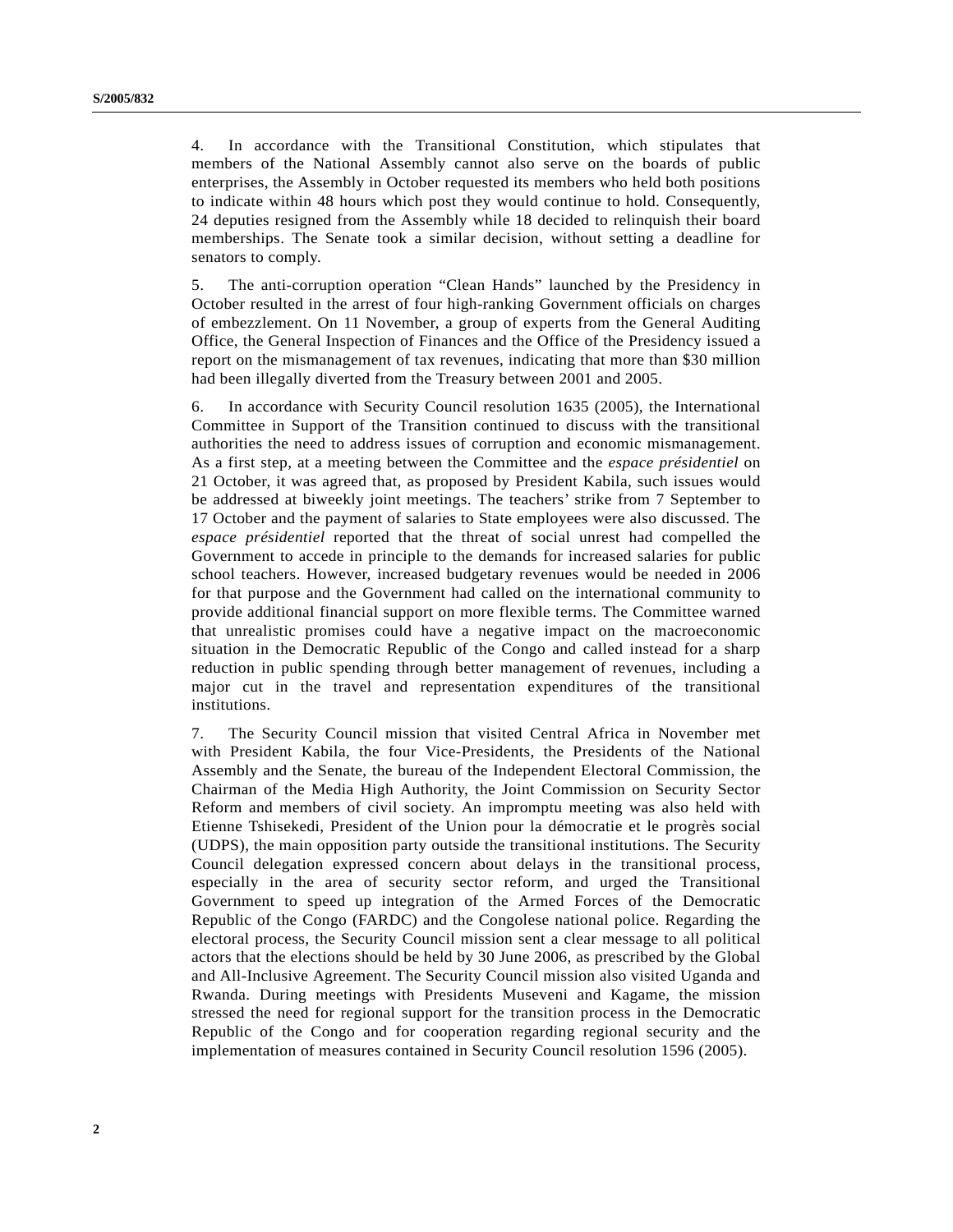4. In accordance with the Transitional Constitution, which stipulates that members of the National Assembly cannot also serve on the boards of public enterprises, the Assembly in October requested its members who held both positions to indicate within 48 hours which post they would continue to hold. Consequently, 24 deputies resigned from the Assembly while 18 decided to relinquish their board memberships. The Senate took a similar decision, without setting a deadline for senators to comply.

5. The anti-corruption operation "Clean Hands" launched by the Presidency in October resulted in the arrest of four high-ranking Government officials on charges of embezzlement. On 11 November, a group of experts from the General Auditing Office, the General Inspection of Finances and the Office of the Presidency issued a report on the mismanagement of tax revenues, indicating that more than \$30 million had been illegally diverted from the Treasury between 2001 and 2005.

6. In accordance with Security Council resolution 1635 (2005), the International Committee in Support of the Transition continued to discuss with the transitional authorities the need to address issues of corruption and economic mismanagement. As a first step, at a meeting between the Committee and the *espace présidentiel* on 21 October, it was agreed that, as proposed by President Kabila, such issues would be addressed at biweekly joint meetings. The teachers' strike from 7 September to 17 October and the payment of salaries to State employees were also discussed. The *espace présidentiel* reported that the threat of social unrest had compelled the Government to accede in principle to the demands for increased salaries for public school teachers. However, increased budgetary revenues would be needed in 2006 for that purpose and the Government had called on the international community to provide additional financial support on more flexible terms. The Committee warned that unrealistic promises could have a negative impact on the macroeconomic situation in the Democratic Republic of the Congo and called instead for a sharp reduction in public spending through better management of revenues, including a major cut in the travel and representation expenditures of the transitional institutions.

7. The Security Council mission that visited Central Africa in November met with President Kabila, the four Vice-Presidents, the Presidents of the National Assembly and the Senate, the bureau of the Independent Electoral Commission, the Chairman of the Media High Authority, the Joint Commission on Security Sector Reform and members of civil society. An impromptu meeting was also held with Etienne Tshisekedi, President of the Union pour la démocratie et le progrès social (UDPS), the main opposition party outside the transitional institutions. The Security Council delegation expressed concern about delays in the transitional process, especially in the area of security sector reform, and urged the Transitional Government to speed up integration of the Armed Forces of the Democratic Republic of the Congo (FARDC) and the Congolese national police. Regarding the electoral process, the Security Council mission sent a clear message to all political actors that the elections should be held by 30 June 2006, as prescribed by the Global and All-Inclusive Agreement. The Security Council mission also visited Uganda and Rwanda. During meetings with Presidents Museveni and Kagame, the mission stressed the need for regional support for the transition process in the Democratic Republic of the Congo and for cooperation regarding regional security and the implementation of measures contained in Security Council resolution 1596 (2005).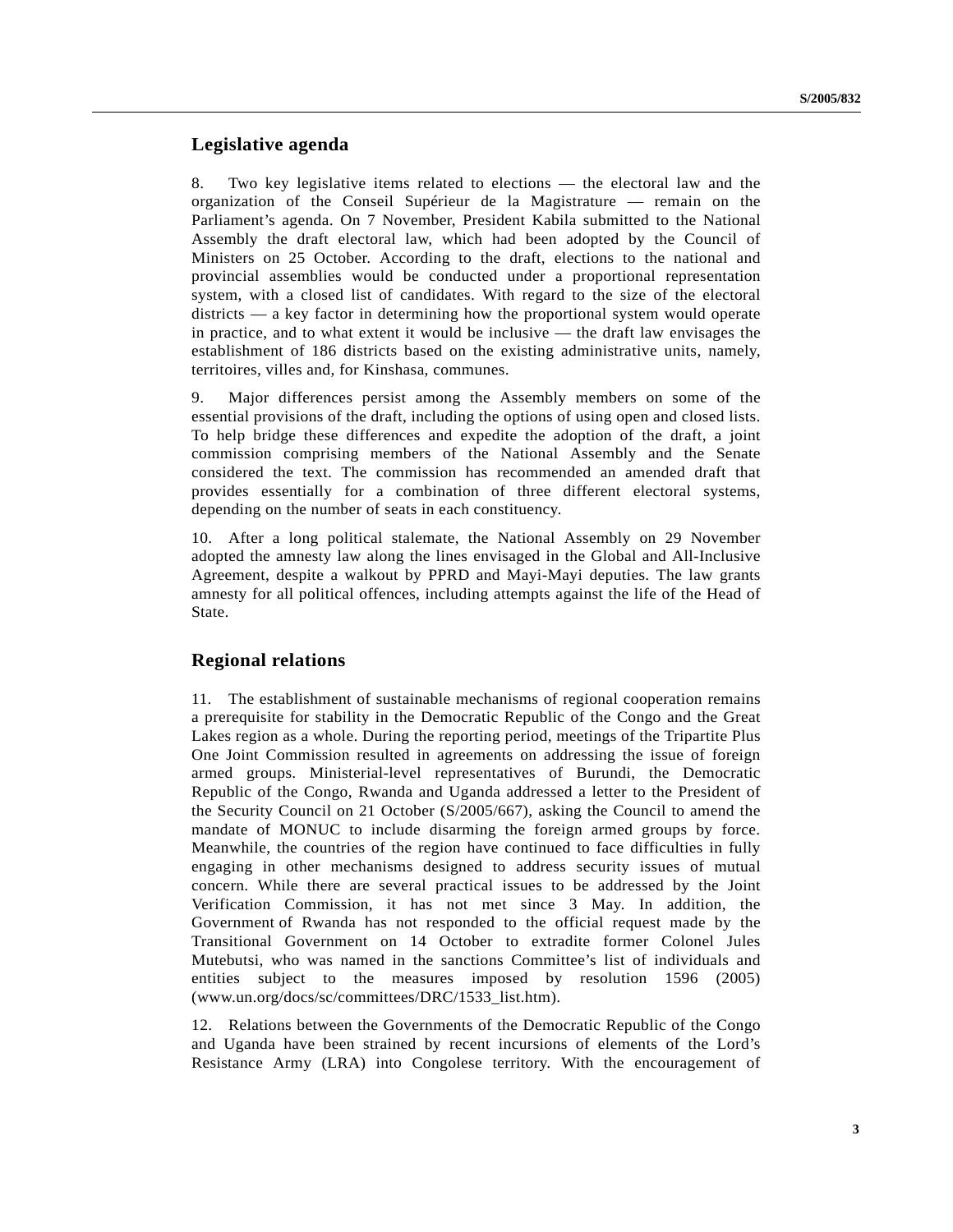## **Legislative agenda**

8. Two key legislative items related to elections — the electoral law and the organization of the Conseil Supérieur de la Magistrature — remain on the Parliament's agenda. On 7 November, President Kabila submitted to the National Assembly the draft electoral law, which had been adopted by the Council of Ministers on 25 October. According to the draft, elections to the national and provincial assemblies would be conducted under a proportional representation system, with a closed list of candidates. With regard to the size of the electoral districts — a key factor in determining how the proportional system would operate in practice, and to what extent it would be inclusive — the draft law envisages the establishment of 186 districts based on the existing administrative units, namely, territoires, villes and, for Kinshasa, communes.

9. Major differences persist among the Assembly members on some of the essential provisions of the draft, including the options of using open and closed lists. To help bridge these differences and expedite the adoption of the draft, a joint commission comprising members of the National Assembly and the Senate considered the text. The commission has recommended an amended draft that provides essentially for a combination of three different electoral systems, depending on the number of seats in each constituency.

10. After a long political stalemate, the National Assembly on 29 November adopted the amnesty law along the lines envisaged in the Global and All-Inclusive Agreement, despite a walkout by PPRD and Mayi-Mayi deputies. The law grants amnesty for all political offences, including attempts against the life of the Head of State.

## **Regional relations**

11. The establishment of sustainable mechanisms of regional cooperation remains a prerequisite for stability in the Democratic Republic of the Congo and the Great Lakes region as a whole. During the reporting period, meetings of the Tripartite Plus One Joint Commission resulted in agreements on addressing the issue of foreign armed groups. Ministerial-level representatives of Burundi, the Democratic Republic of the Congo, Rwanda and Uganda addressed a letter to the President of the Security Council on 21 October (S/2005/667), asking the Council to amend the mandate of MONUC to include disarming the foreign armed groups by force. Meanwhile, the countries of the region have continued to face difficulties in fully engaging in other mechanisms designed to address security issues of mutual concern. While there are several practical issues to be addressed by the Joint Verification Commission, it has not met since 3 May. In addition, the Government of Rwanda has not responded to the official request made by the Transitional Government on 14 October to extradite former Colonel Jules Mutebutsi, who was named in the sanctions Committee's list of individuals and entities subject to the measures imposed by resolution 1596 (2005) (www.un.org/docs/sc/committees/DRC/1533\_list.htm).

12. Relations between the Governments of the Democratic Republic of the Congo and Uganda have been strained by recent incursions of elements of the Lord's Resistance Army (LRA) into Congolese territory. With the encouragement of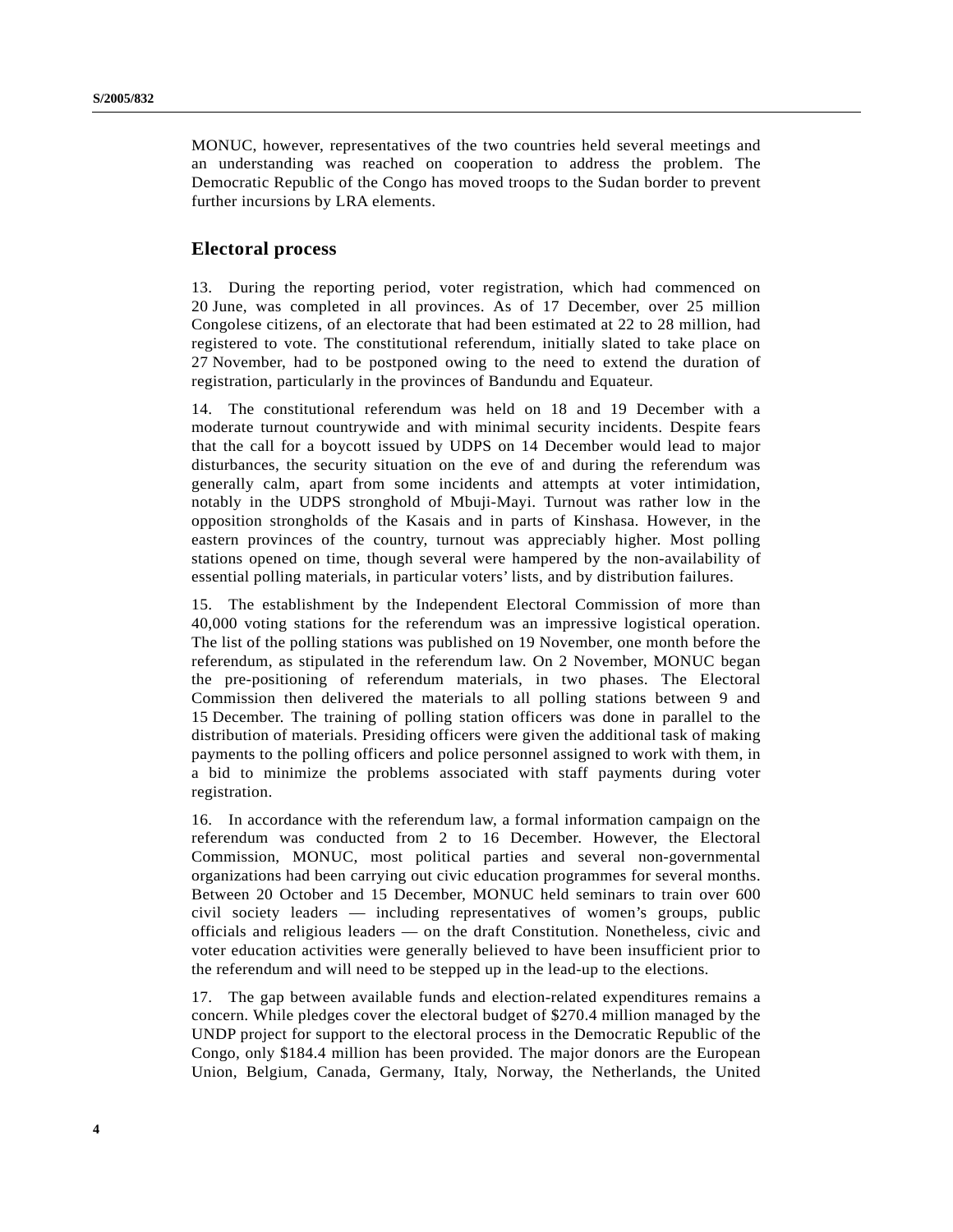MONUC, however, representatives of the two countries held several meetings and an understanding was reached on cooperation to address the problem. The Democratic Republic of the Congo has moved troops to the Sudan border to prevent further incursions by LRA elements.

#### **Electoral process**

13. During the reporting period, voter registration, which had commenced on 20 June, was completed in all provinces. As of 17 December, over 25 million Congolese citizens, of an electorate that had been estimated at 22 to 28 million, had registered to vote. The constitutional referendum, initially slated to take place on 27 November, had to be postponed owing to the need to extend the duration of registration, particularly in the provinces of Bandundu and Equateur.

14. The constitutional referendum was held on 18 and 19 December with a moderate turnout countrywide and with minimal security incidents. Despite fears that the call for a boycott issued by UDPS on 14 December would lead to major disturbances, the security situation on the eve of and during the referendum was generally calm, apart from some incidents and attempts at voter intimidation, notably in the UDPS stronghold of Mbuji-Mayi. Turnout was rather low in the opposition strongholds of the Kasais and in parts of Kinshasa. However, in the eastern provinces of the country, turnout was appreciably higher. Most polling stations opened on time, though several were hampered by the non-availability of essential polling materials, in particular voters' lists, and by distribution failures.

15. The establishment by the Independent Electoral Commission of more than 40,000 voting stations for the referendum was an impressive logistical operation. The list of the polling stations was published on 19 November, one month before the referendum, as stipulated in the referendum law. On 2 November, MONUC began the pre-positioning of referendum materials, in two phases. The Electoral Commission then delivered the materials to all polling stations between 9 and 15 December. The training of polling station officers was done in parallel to the distribution of materials. Presiding officers were given the additional task of making payments to the polling officers and police personnel assigned to work with them, in a bid to minimize the problems associated with staff payments during voter registration.

16. In accordance with the referendum law, a formal information campaign on the referendum was conducted from 2 to 16 December. However, the Electoral Commission, MONUC, most political parties and several non-governmental organizations had been carrying out civic education programmes for several months. Between 20 October and 15 December, MONUC held seminars to train over 600 civil society leaders — including representatives of women's groups, public officials and religious leaders — on the draft Constitution. Nonetheless, civic and voter education activities were generally believed to have been insufficient prior to the referendum and will need to be stepped up in the lead-up to the elections.

17. The gap between available funds and election-related expenditures remains a concern. While pledges cover the electoral budget of \$270.4 million managed by the UNDP project for support to the electoral process in the Democratic Republic of the Congo, only \$184.4 million has been provided. The major donors are the European Union, Belgium, Canada, Germany, Italy, Norway, the Netherlands, the United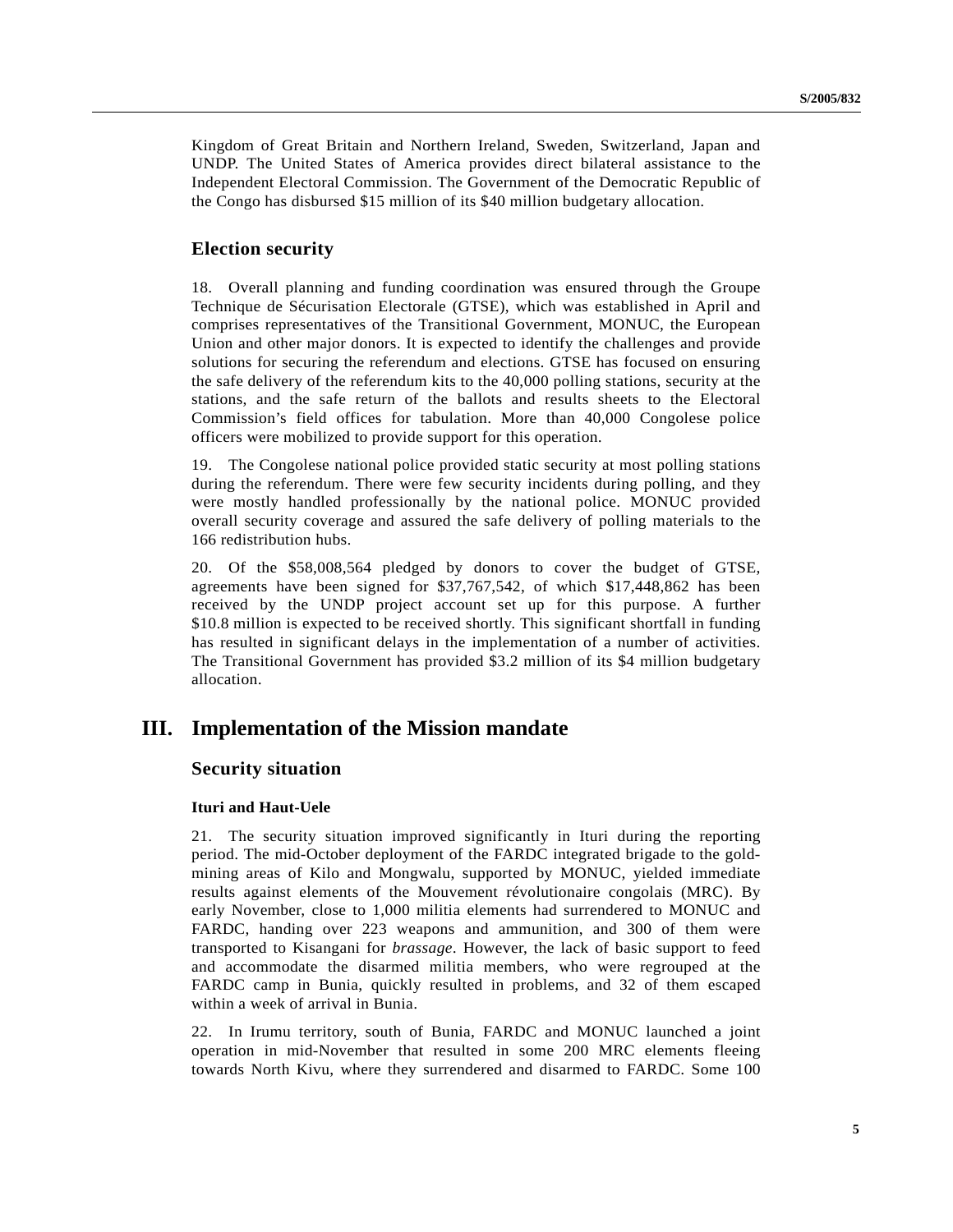Kingdom of Great Britain and Northern Ireland, Sweden, Switzerland, Japan and UNDP. The United States of America provides direct bilateral assistance to the Independent Electoral Commission. The Government of the Democratic Republic of the Congo has disbursed \$15 million of its \$40 million budgetary allocation.

### **Election security**

18. Overall planning and funding coordination was ensured through the Groupe Technique de Sécurisation Electorale (GTSE), which was established in April and comprises representatives of the Transitional Government, MONUC, the European Union and other major donors. It is expected to identify the challenges and provide solutions for securing the referendum and elections. GTSE has focused on ensuring the safe delivery of the referendum kits to the 40,000 polling stations, security at the stations, and the safe return of the ballots and results sheets to the Electoral Commission's field offices for tabulation. More than 40,000 Congolese police officers were mobilized to provide support for this operation.

19. The Congolese national police provided static security at most polling stations during the referendum. There were few security incidents during polling, and they were mostly handled professionally by the national police. MONUC provided overall security coverage and assured the safe delivery of polling materials to the 166 redistribution hubs.

20. Of the \$58,008,564 pledged by donors to cover the budget of GTSE, agreements have been signed for \$37,767,542, of which \$17,448,862 has been received by the UNDP project account set up for this purpose. A further \$10.8 million is expected to be received shortly. This significant shortfall in funding has resulted in significant delays in the implementation of a number of activities. The Transitional Government has provided \$3.2 million of its \$4 million budgetary allocation.

# **III. Implementation of the Mission mandate**

### **Security situation**

#### **Ituri and Haut-Uele**

21. The security situation improved significantly in Ituri during the reporting period. The mid-October deployment of the FARDC integrated brigade to the goldmining areas of Kilo and Mongwalu, supported by MONUC, yielded immediate results against elements of the Mouvement révolutionaire congolais (MRC). By early November, close to 1,000 militia elements had surrendered to MONUC and FARDC, handing over 223 weapons and ammunition, and 300 of them were transported to Kisangani for *brassage*. However, the lack of basic support to feed and accommodate the disarmed militia members, who were regrouped at the FARDC camp in Bunia, quickly resulted in problems, and 32 of them escaped within a week of arrival in Bunia.

22. In Irumu territory, south of Bunia, FARDC and MONUC launched a joint operation in mid-November that resulted in some 200 MRC elements fleeing towards North Kivu, where they surrendered and disarmed to FARDC. Some 100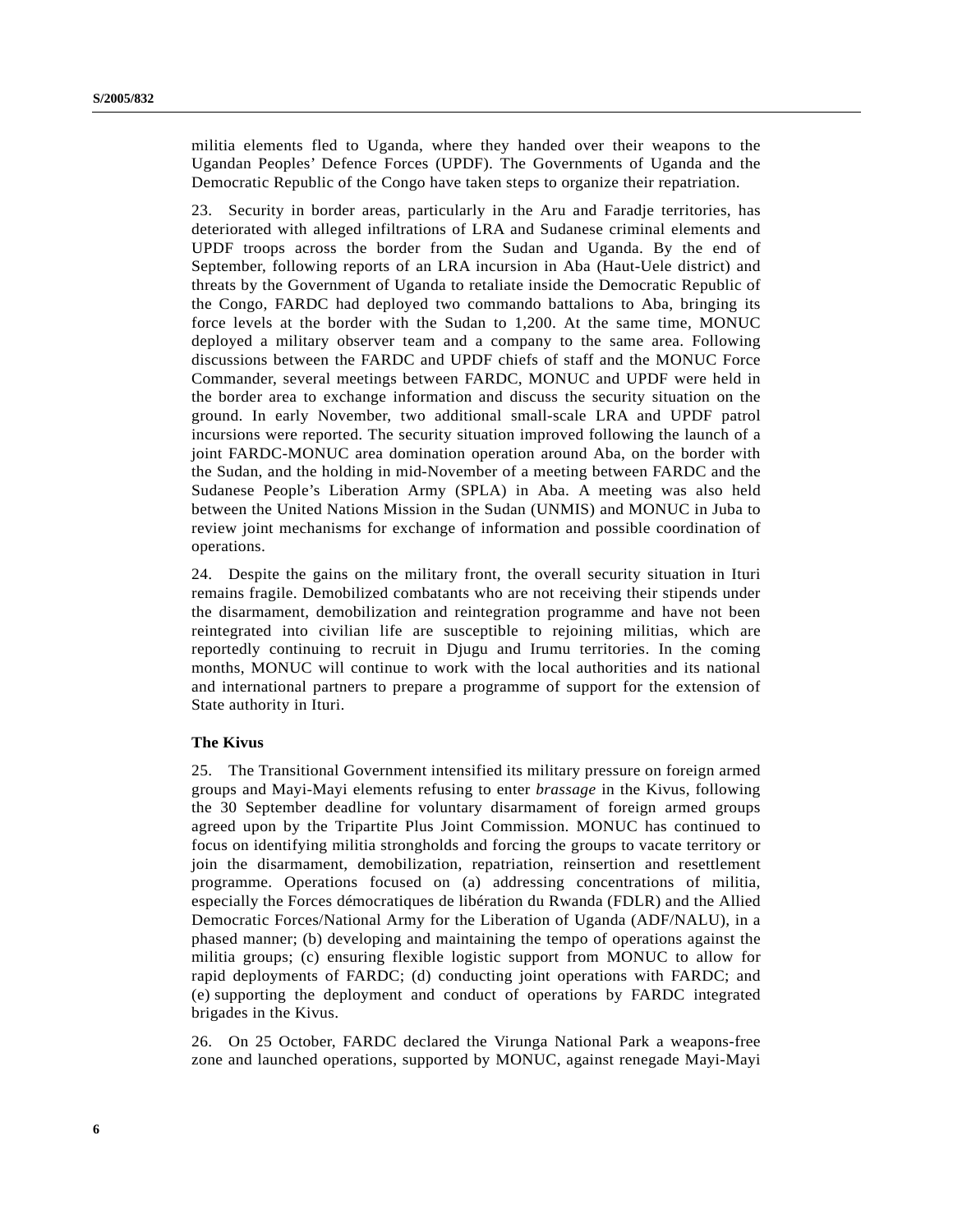militia elements fled to Uganda, where they handed over their weapons to the Ugandan Peoples' Defence Forces (UPDF). The Governments of Uganda and the Democratic Republic of the Congo have taken steps to organize their repatriation.

23. Security in border areas, particularly in the Aru and Faradje territories, has deteriorated with alleged infiltrations of LRA and Sudanese criminal elements and UPDF troops across the border from the Sudan and Uganda. By the end of September, following reports of an LRA incursion in Aba (Haut-Uele district) and threats by the Government of Uganda to retaliate inside the Democratic Republic of the Congo, FARDC had deployed two commando battalions to Aba, bringing its force levels at the border with the Sudan to 1,200. At the same time, MONUC deployed a military observer team and a company to the same area. Following discussions between the FARDC and UPDF chiefs of staff and the MONUC Force Commander, several meetings between FARDC, MONUC and UPDF were held in the border area to exchange information and discuss the security situation on the ground. In early November, two additional small-scale LRA and UPDF patrol incursions were reported. The security situation improved following the launch of a joint FARDC-MONUC area domination operation around Aba, on the border with the Sudan, and the holding in mid-November of a meeting between FARDC and the Sudanese People's Liberation Army (SPLA) in Aba. A meeting was also held between the United Nations Mission in the Sudan (UNMIS) and MONUC in Juba to review joint mechanisms for exchange of information and possible coordination of operations.

24. Despite the gains on the military front, the overall security situation in Ituri remains fragile. Demobilized combatants who are not receiving their stipends under the disarmament, demobilization and reintegration programme and have not been reintegrated into civilian life are susceptible to rejoining militias, which are reportedly continuing to recruit in Djugu and Irumu territories. In the coming months, MONUC will continue to work with the local authorities and its national and international partners to prepare a programme of support for the extension of State authority in Ituri.

#### **The Kivus**

25. The Transitional Government intensified its military pressure on foreign armed groups and Mayi-Mayi elements refusing to enter *brassage* in the Kivus, following the 30 September deadline for voluntary disarmament of foreign armed groups agreed upon by the Tripartite Plus Joint Commission. MONUC has continued to focus on identifying militia strongholds and forcing the groups to vacate territory or join the disarmament, demobilization, repatriation, reinsertion and resettlement programme. Operations focused on (a) addressing concentrations of militia, especially the Forces démocratiques de libération du Rwanda (FDLR) and the Allied Democratic Forces/National Army for the Liberation of Uganda (ADF/NALU), in a phased manner; (b) developing and maintaining the tempo of operations against the militia groups; (c) ensuring flexible logistic support from MONUC to allow for rapid deployments of FARDC; (d) conducting joint operations with FARDC; and (e) supporting the deployment and conduct of operations by FARDC integrated brigades in the Kivus.

26. On 25 October, FARDC declared the Virunga National Park a weapons-free zone and launched operations, supported by MONUC, against renegade Mayi-Mayi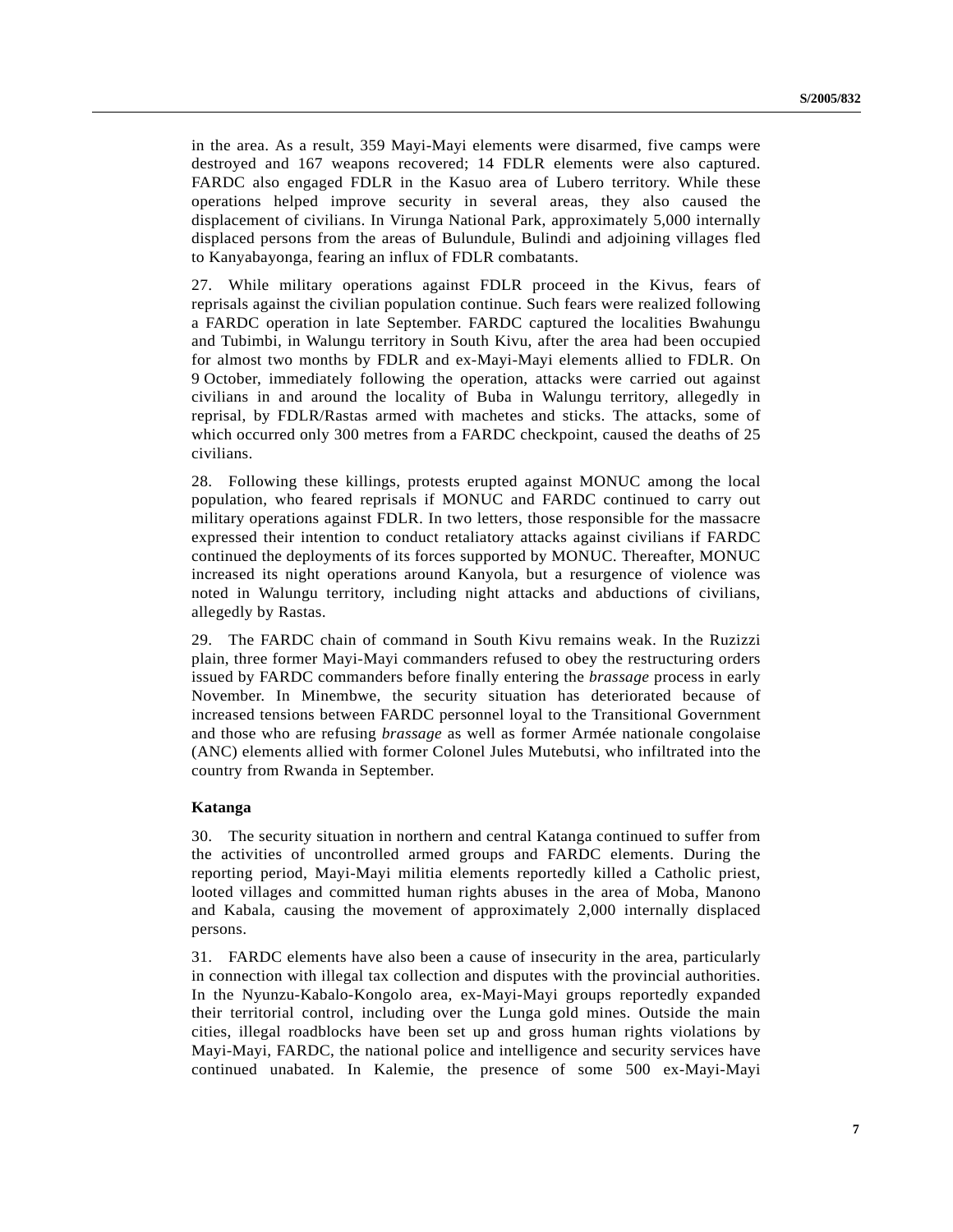in the area. As a result, 359 Mayi-Mayi elements were disarmed, five camps were destroyed and 167 weapons recovered; 14 FDLR elements were also captured. FARDC also engaged FDLR in the Kasuo area of Lubero territory. While these operations helped improve security in several areas, they also caused the displacement of civilians. In Virunga National Park, approximately 5,000 internally displaced persons from the areas of Bulundule, Bulindi and adjoining villages fled to Kanyabayonga, fearing an influx of FDLR combatants.

27. While military operations against FDLR proceed in the Kivus, fears of reprisals against the civilian population continue. Such fears were realized following a FARDC operation in late September. FARDC captured the localities Bwahungu and Tubimbi, in Walungu territory in South Kivu, after the area had been occupied for almost two months by FDLR and ex-Mayi-Mayi elements allied to FDLR. On 9 October, immediately following the operation, attacks were carried out against civilians in and around the locality of Buba in Walungu territory, allegedly in reprisal, by FDLR/Rastas armed with machetes and sticks. The attacks, some of which occurred only 300 metres from a FARDC checkpoint, caused the deaths of 25 civilians.

28. Following these killings, protests erupted against MONUC among the local population, who feared reprisals if MONUC and FARDC continued to carry out military operations against FDLR. In two letters, those responsible for the massacre expressed their intention to conduct retaliatory attacks against civilians if FARDC continued the deployments of its forces supported by MONUC. Thereafter, MONUC increased its night operations around Kanyola, but a resurgence of violence was noted in Walungu territory, including night attacks and abductions of civilians, allegedly by Rastas.

29. The FARDC chain of command in South Kivu remains weak. In the Ruzizzi plain, three former Mayi-Mayi commanders refused to obey the restructuring orders issued by FARDC commanders before finally entering the *brassage* process in early November. In Minembwe, the security situation has deteriorated because of increased tensions between FARDC personnel loyal to the Transitional Government and those who are refusing *brassage* as well as former Armée nationale congolaise (ANC) elements allied with former Colonel Jules Mutebutsi, who infiltrated into the country from Rwanda in September.

#### **Katanga**

30. The security situation in northern and central Katanga continued to suffer from the activities of uncontrolled armed groups and FARDC elements. During the reporting period, Mayi-Mayi militia elements reportedly killed a Catholic priest, looted villages and committed human rights abuses in the area of Moba, Manono and Kabala, causing the movement of approximately 2,000 internally displaced persons.

31. FARDC elements have also been a cause of insecurity in the area, particularly in connection with illegal tax collection and disputes with the provincial authorities. In the Nyunzu-Kabalo-Kongolo area, ex-Mayi-Mayi groups reportedly expanded their territorial control, including over the Lunga gold mines. Outside the main cities, illegal roadblocks have been set up and gross human rights violations by Mayi-Mayi, FARDC, the national police and intelligence and security services have continued unabated. In Kalemie, the presence of some 500 ex-Mayi-Mayi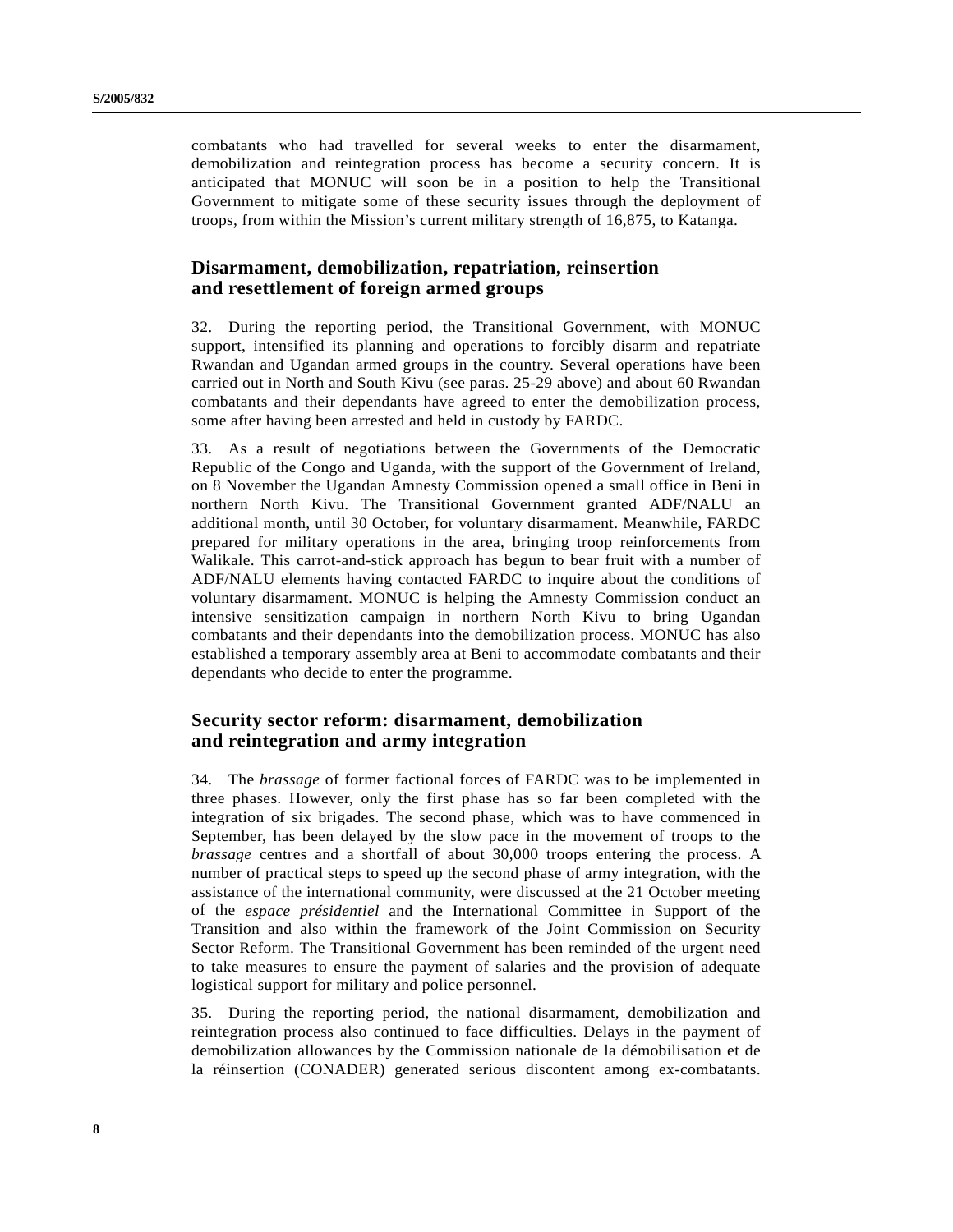combatants who had travelled for several weeks to enter the disarmament, demobilization and reintegration process has become a security concern. It is anticipated that MONUC will soon be in a position to help the Transitional Government to mitigate some of these security issues through the deployment of troops, from within the Mission's current military strength of 16,875, to Katanga.

## **Disarmament, demobilization, repatriation, reinsertion and resettlement of foreign armed groups**

32. During the reporting period, the Transitional Government, with MONUC support, intensified its planning and operations to forcibly disarm and repatriate Rwandan and Ugandan armed groups in the country. Several operations have been carried out in North and South Kivu (see paras. 25-29 above) and about 60 Rwandan combatants and their dependants have agreed to enter the demobilization process, some after having been arrested and held in custody by FARDC.

33. As a result of negotiations between the Governments of the Democratic Republic of the Congo and Uganda, with the support of the Government of Ireland, on 8 November the Ugandan Amnesty Commission opened a small office in Beni in northern North Kivu. The Transitional Government granted ADF/NALU an additional month, until 30 October, for voluntary disarmament. Meanwhile, FARDC prepared for military operations in the area, bringing troop reinforcements from Walikale. This carrot-and-stick approach has begun to bear fruit with a number of ADF/NALU elements having contacted FARDC to inquire about the conditions of voluntary disarmament. MONUC is helping the Amnesty Commission conduct an intensive sensitization campaign in northern North Kivu to bring Ugandan combatants and their dependants into the demobilization process. MONUC has also established a temporary assembly area at Beni to accommodate combatants and their dependants who decide to enter the programme.

## **Security sector reform: disarmament, demobilization and reintegration and army integration**

34. The *brassage* of former factional forces of FARDC was to be implemented in three phases. However, only the first phase has so far been completed with the integration of six brigades. The second phase, which was to have commenced in September, has been delayed by the slow pace in the movement of troops to the *brassage* centres and a shortfall of about 30,000 troops entering the process. A number of practical steps to speed up the second phase of army integration, with the assistance of the international community, were discussed at the 21 October meeting of the *espace présidentiel* and the International Committee in Support of the Transition and also within the framework of the Joint Commission on Security Sector Reform. The Transitional Government has been reminded of the urgent need to take measures to ensure the payment of salaries and the provision of adequate logistical support for military and police personnel.

35. During the reporting period, the national disarmament, demobilization and reintegration process also continued to face difficulties. Delays in the payment of demobilization allowances by the Commission nationale de la démobilisation et de la réinsertion (CONADER) generated serious discontent among ex-combatants.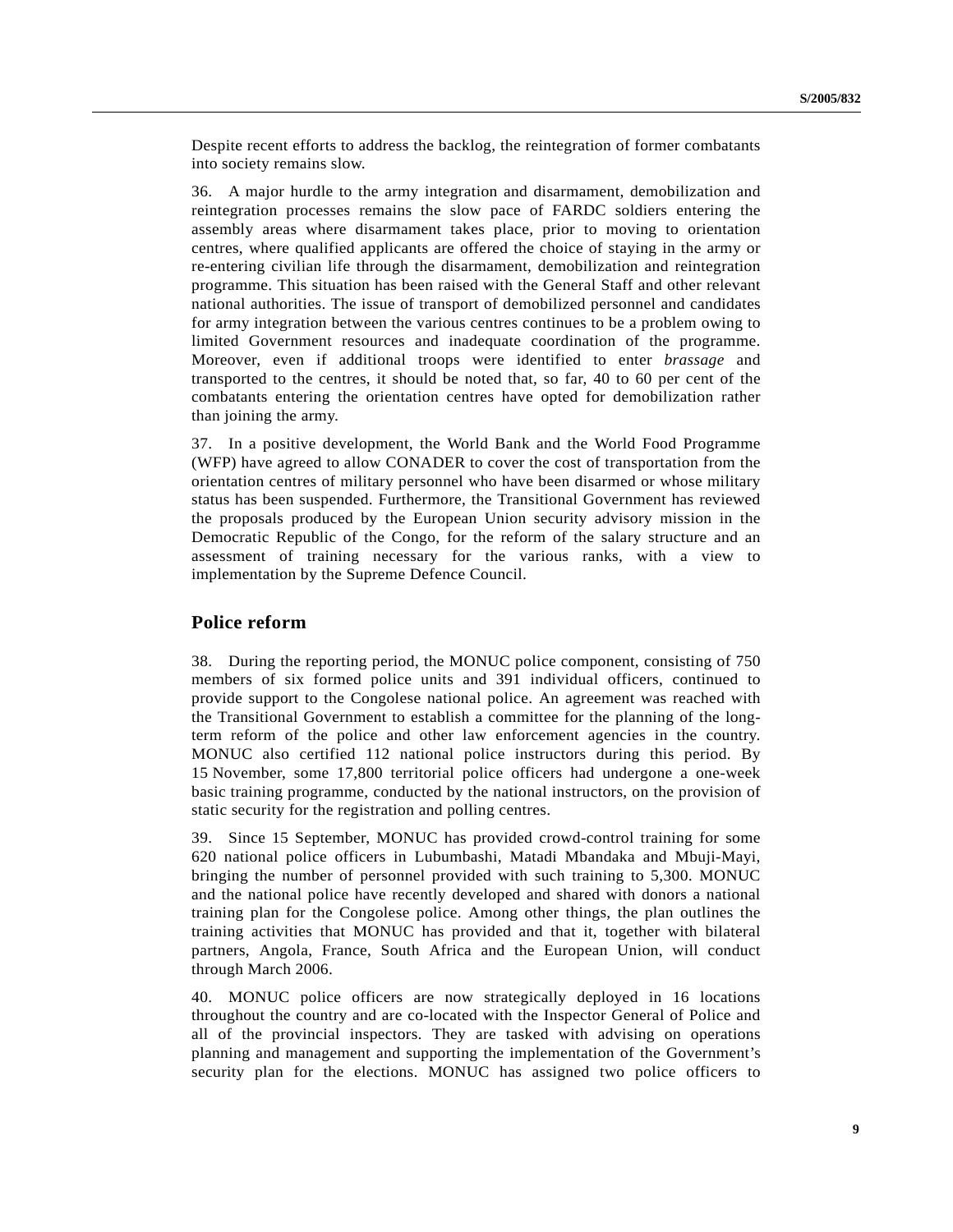Despite recent efforts to address the backlog, the reintegration of former combatants into society remains slow.

36. A major hurdle to the army integration and disarmament, demobilization and reintegration processes remains the slow pace of FARDC soldiers entering the assembly areas where disarmament takes place, prior to moving to orientation centres, where qualified applicants are offered the choice of staying in the army or re-entering civilian life through the disarmament, demobilization and reintegration programme. This situation has been raised with the General Staff and other relevant national authorities. The issue of transport of demobilized personnel and candidates for army integration between the various centres continues to be a problem owing to limited Government resources and inadequate coordination of the programme. Moreover, even if additional troops were identified to enter *brassage* and transported to the centres, it should be noted that, so far, 40 to 60 per cent of the combatants entering the orientation centres have opted for demobilization rather than joining the army.

37. In a positive development, the World Bank and the World Food Programme (WFP) have agreed to allow CONADER to cover the cost of transportation from the orientation centres of military personnel who have been disarmed or whose military status has been suspended. Furthermore, the Transitional Government has reviewed the proposals produced by the European Union security advisory mission in the Democratic Republic of the Congo, for the reform of the salary structure and an assessment of training necessary for the various ranks, with a view to implementation by the Supreme Defence Council.

### **Police reform**

38. During the reporting period, the MONUC police component, consisting of 750 members of six formed police units and 391 individual officers, continued to provide support to the Congolese national police. An agreement was reached with the Transitional Government to establish a committee for the planning of the longterm reform of the police and other law enforcement agencies in the country. MONUC also certified 112 national police instructors during this period. By 15 November, some 17,800 territorial police officers had undergone a one-week basic training programme, conducted by the national instructors, on the provision of static security for the registration and polling centres.

39. Since 15 September, MONUC has provided crowd-control training for some 620 national police officers in Lubumbashi, Matadi Mbandaka and Mbuji-Mayi, bringing the number of personnel provided with such training to 5,300. MONUC and the national police have recently developed and shared with donors a national training plan for the Congolese police. Among other things, the plan outlines the training activities that MONUC has provided and that it, together with bilateral partners, Angola, France, South Africa and the European Union, will conduct through March 2006.

40. MONUC police officers are now strategically deployed in 16 locations throughout the country and are co-located with the Inspector General of Police and all of the provincial inspectors. They are tasked with advising on operations planning and management and supporting the implementation of the Government's security plan for the elections. MONUC has assigned two police officers to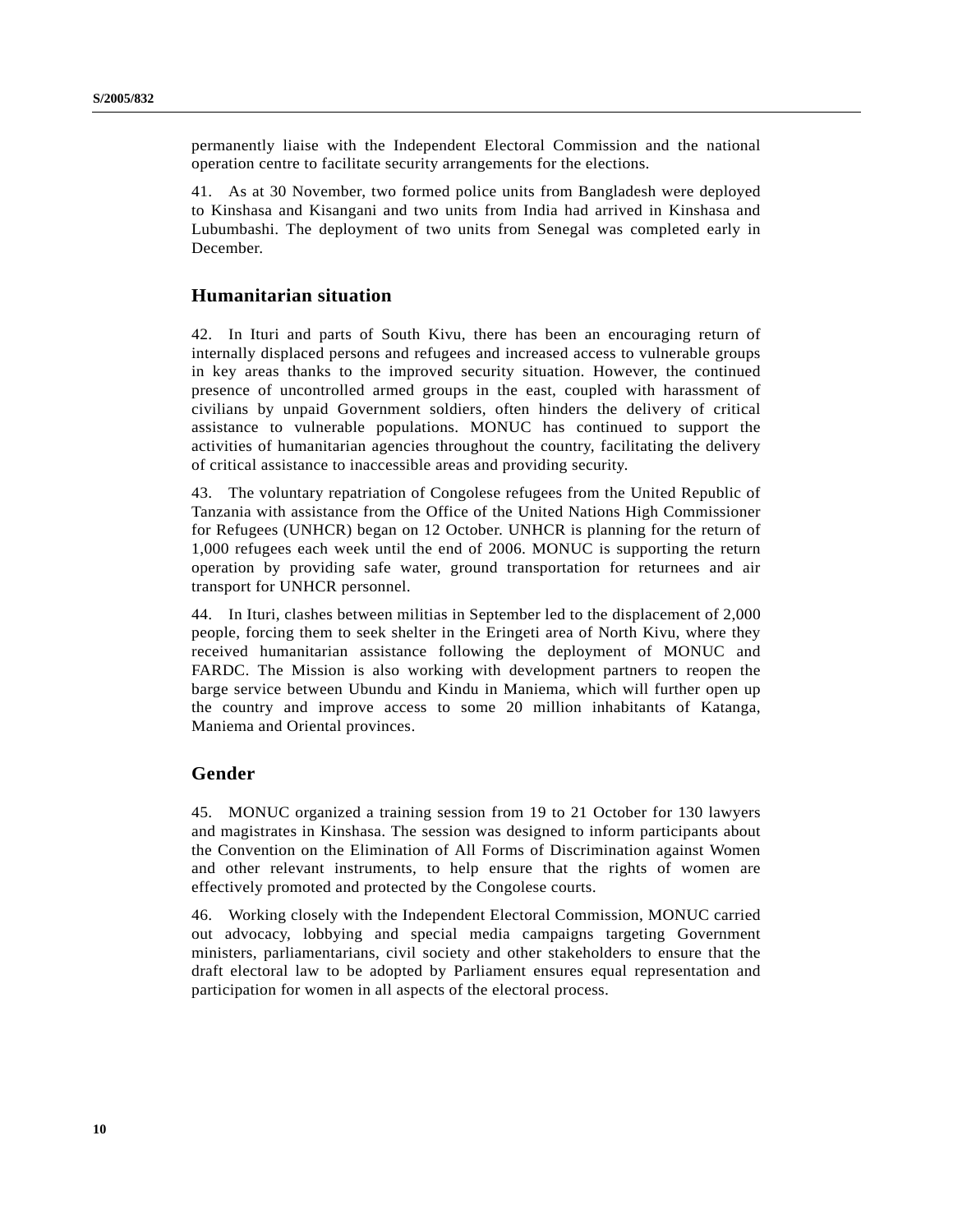permanently liaise with the Independent Electoral Commission and the national operation centre to facilitate security arrangements for the elections.

41. As at 30 November, two formed police units from Bangladesh were deployed to Kinshasa and Kisangani and two units from India had arrived in Kinshasa and Lubumbashi. The deployment of two units from Senegal was completed early in December.

### **Humanitarian situation**

42. In Ituri and parts of South Kivu, there has been an encouraging return of internally displaced persons and refugees and increased access to vulnerable groups in key areas thanks to the improved security situation. However, the continued presence of uncontrolled armed groups in the east, coupled with harassment of civilians by unpaid Government soldiers, often hinders the delivery of critical assistance to vulnerable populations. MONUC has continued to support the activities of humanitarian agencies throughout the country, facilitating the delivery of critical assistance to inaccessible areas and providing security.

43. The voluntary repatriation of Congolese refugees from the United Republic of Tanzania with assistance from the Office of the United Nations High Commissioner for Refugees (UNHCR) began on 12 October. UNHCR is planning for the return of 1,000 refugees each week until the end of 2006. MONUC is supporting the return operation by providing safe water, ground transportation for returnees and air transport for UNHCR personnel.

44. In Ituri, clashes between militias in September led to the displacement of 2,000 people, forcing them to seek shelter in the Eringeti area of North Kivu, where they received humanitarian assistance following the deployment of MONUC and FARDC. The Mission is also working with development partners to reopen the barge service between Ubundu and Kindu in Maniema, which will further open up the country and improve access to some 20 million inhabitants of Katanga, Maniema and Oriental provinces.

### **Gender**

45. MONUC organized a training session from 19 to 21 October for 130 lawyers and magistrates in Kinshasa. The session was designed to inform participants about the Convention on the Elimination of All Forms of Discrimination against Women and other relevant instruments, to help ensure that the rights of women are effectively promoted and protected by the Congolese courts.

46. Working closely with the Independent Electoral Commission, MONUC carried out advocacy, lobbying and special media campaigns targeting Government ministers, parliamentarians, civil society and other stakeholders to ensure that the draft electoral law to be adopted by Parliament ensures equal representation and participation for women in all aspects of the electoral process.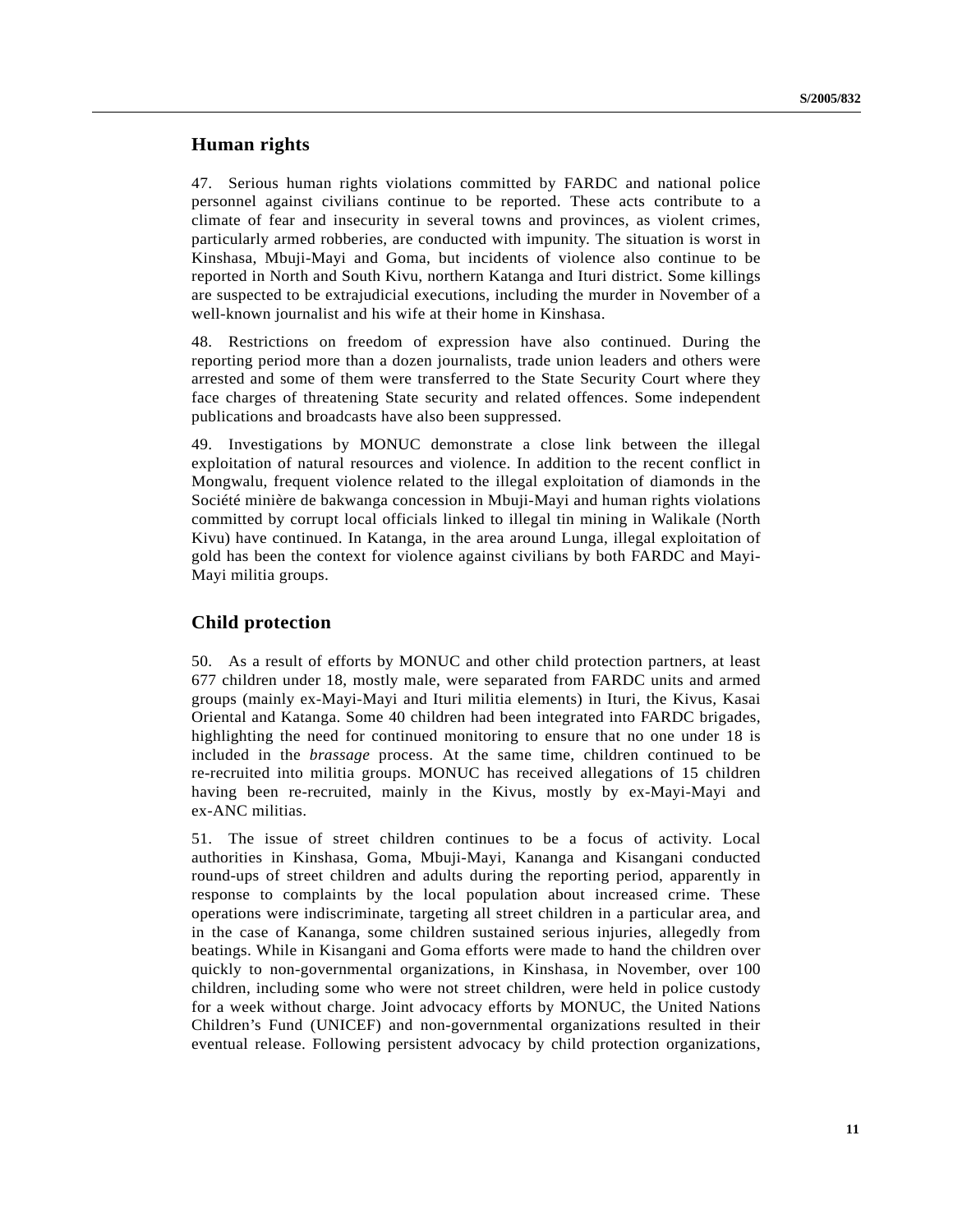## **Human rights**

47. Serious human rights violations committed by FARDC and national police personnel against civilians continue to be reported. These acts contribute to a climate of fear and insecurity in several towns and provinces, as violent crimes, particularly armed robberies, are conducted with impunity. The situation is worst in Kinshasa, Mbuji-Mayi and Goma, but incidents of violence also continue to be reported in North and South Kivu, northern Katanga and Ituri district. Some killings are suspected to be extrajudicial executions, including the murder in November of a well-known journalist and his wife at their home in Kinshasa.

48. Restrictions on freedom of expression have also continued. During the reporting period more than a dozen journalists, trade union leaders and others were arrested and some of them were transferred to the State Security Court where they face charges of threatening State security and related offences. Some independent publications and broadcasts have also been suppressed.

49. Investigations by MONUC demonstrate a close link between the illegal exploitation of natural resources and violence. In addition to the recent conflict in Mongwalu, frequent violence related to the illegal exploitation of diamonds in the Société minière de bakwanga concession in Mbuji-Mayi and human rights violations committed by corrupt local officials linked to illegal tin mining in Walikale (North Kivu) have continued. In Katanga, in the area around Lunga, illegal exploitation of gold has been the context for violence against civilians by both FARDC and Mayi-Mayi militia groups.

### **Child protection**

50. As a result of efforts by MONUC and other child protection partners, at least 677 children under 18, mostly male, were separated from FARDC units and armed groups (mainly ex-Mayi-Mayi and Ituri militia elements) in Ituri, the Kivus, Kasai Oriental and Katanga. Some 40 children had been integrated into FARDC brigades, highlighting the need for continued monitoring to ensure that no one under 18 is included in the *brassage* process. At the same time, children continued to be re-recruited into militia groups. MONUC has received allegations of 15 children having been re-recruited, mainly in the Kivus, mostly by ex-Mayi-Mayi and ex-ANC militias.

51. The issue of street children continues to be a focus of activity. Local authorities in Kinshasa, Goma, Mbuji-Mayi, Kananga and Kisangani conducted round-ups of street children and adults during the reporting period, apparently in response to complaints by the local population about increased crime. These operations were indiscriminate, targeting all street children in a particular area, and in the case of Kananga, some children sustained serious injuries, allegedly from beatings. While in Kisangani and Goma efforts were made to hand the children over quickly to non-governmental organizations, in Kinshasa, in November, over 100 children, including some who were not street children, were held in police custody for a week without charge. Joint advocacy efforts by MONUC, the United Nations Children's Fund (UNICEF) and non-governmental organizations resulted in their eventual release. Following persistent advocacy by child protection organizations,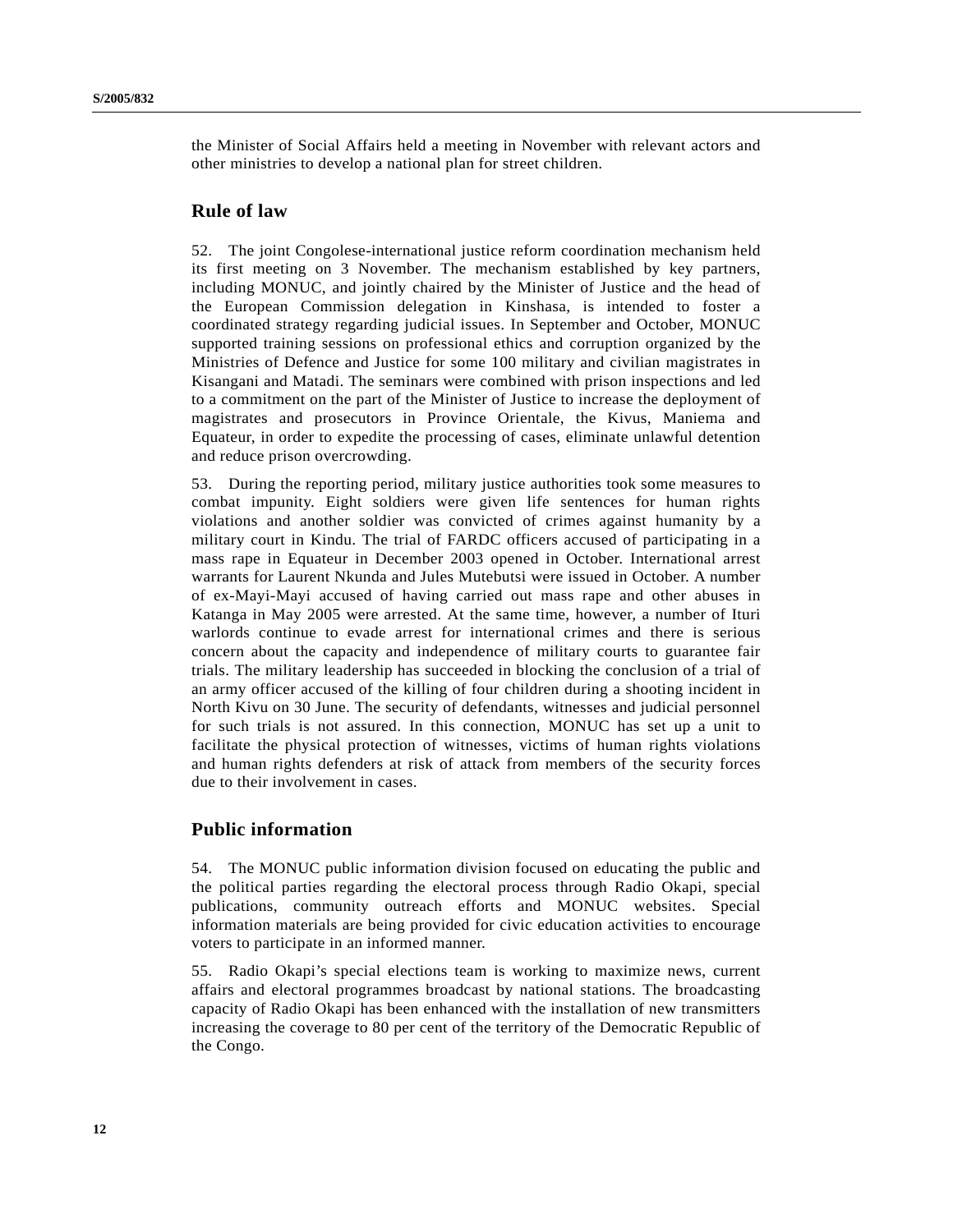the Minister of Social Affairs held a meeting in November with relevant actors and other ministries to develop a national plan for street children.

### **Rule of law**

52. The joint Congolese-international justice reform coordination mechanism held its first meeting on 3 November. The mechanism established by key partners, including MONUC, and jointly chaired by the Minister of Justice and the head of the European Commission delegation in Kinshasa, is intended to foster a coordinated strategy regarding judicial issues. In September and October, MONUC supported training sessions on professional ethics and corruption organized by the Ministries of Defence and Justice for some 100 military and civilian magistrates in Kisangani and Matadi. The seminars were combined with prison inspections and led to a commitment on the part of the Minister of Justice to increase the deployment of magistrates and prosecutors in Province Orientale, the Kivus, Maniema and Equateur, in order to expedite the processing of cases, eliminate unlawful detention and reduce prison overcrowding.

53. During the reporting period, military justice authorities took some measures to combat impunity. Eight soldiers were given life sentences for human rights violations and another soldier was convicted of crimes against humanity by a military court in Kindu. The trial of FARDC officers accused of participating in a mass rape in Equateur in December 2003 opened in October. International arrest warrants for Laurent Nkunda and Jules Mutebutsi were issued in October. A number of ex-Mayi-Mayi accused of having carried out mass rape and other abuses in Katanga in May 2005 were arrested. At the same time, however, a number of Ituri warlords continue to evade arrest for international crimes and there is serious concern about the capacity and independence of military courts to guarantee fair trials. The military leadership has succeeded in blocking the conclusion of a trial of an army officer accused of the killing of four children during a shooting incident in North Kivu on 30 June. The security of defendants, witnesses and judicial personnel for such trials is not assured. In this connection, MONUC has set up a unit to facilitate the physical protection of witnesses, victims of human rights violations and human rights defenders at risk of attack from members of the security forces due to their involvement in cases.

## **Public information**

54. The MONUC public information division focused on educating the public and the political parties regarding the electoral process through Radio Okapi, special publications, community outreach efforts and MONUC websites. Special information materials are being provided for civic education activities to encourage voters to participate in an informed manner.

55. Radio Okapi's special elections team is working to maximize news, current affairs and electoral programmes broadcast by national stations. The broadcasting capacity of Radio Okapi has been enhanced with the installation of new transmitters increasing the coverage to 80 per cent of the territory of the Democratic Republic of the Congo.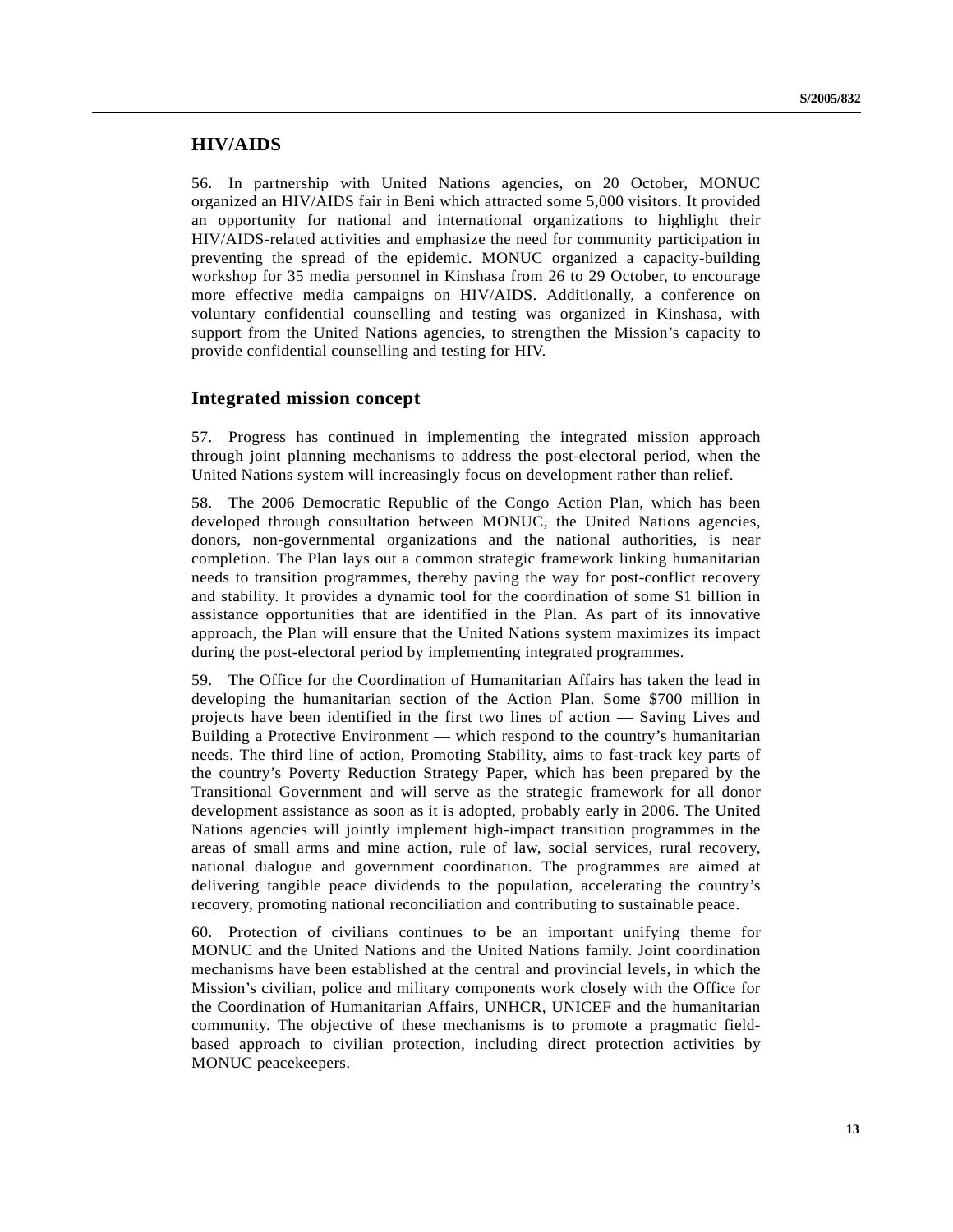### **HIV/AIDS**

56. In partnership with United Nations agencies, on 20 October, MONUC organized an HIV/AIDS fair in Beni which attracted some 5,000 visitors. It provided an opportunity for national and international organizations to highlight their HIV/AIDS-related activities and emphasize the need for community participation in preventing the spread of the epidemic. MONUC organized a capacity-building workshop for 35 media personnel in Kinshasa from 26 to 29 October, to encourage more effective media campaigns on HIV/AIDS. Additionally, a conference on voluntary confidential counselling and testing was organized in Kinshasa, with support from the United Nations agencies, to strengthen the Mission's capacity to provide confidential counselling and testing for HIV.

#### **Integrated mission concept**

57. Progress has continued in implementing the integrated mission approach through joint planning mechanisms to address the post-electoral period, when the United Nations system will increasingly focus on development rather than relief.

58. The 2006 Democratic Republic of the Congo Action Plan, which has been developed through consultation between MONUC, the United Nations agencies, donors, non-governmental organizations and the national authorities, is near completion. The Plan lays out a common strategic framework linking humanitarian needs to transition programmes, thereby paving the way for post-conflict recovery and stability. It provides a dynamic tool for the coordination of some \$1 billion in assistance opportunities that are identified in the Plan. As part of its innovative approach, the Plan will ensure that the United Nations system maximizes its impact during the post-electoral period by implementing integrated programmes.

59. The Office for the Coordination of Humanitarian Affairs has taken the lead in developing the humanitarian section of the Action Plan. Some \$700 million in projects have been identified in the first two lines of action — Saving Lives and Building a Protective Environment — which respond to the country's humanitarian needs. The third line of action, Promoting Stability, aims to fast-track key parts of the country's Poverty Reduction Strategy Paper, which has been prepared by the Transitional Government and will serve as the strategic framework for all donor development assistance as soon as it is adopted, probably early in 2006. The United Nations agencies will jointly implement high-impact transition programmes in the areas of small arms and mine action, rule of law, social services, rural recovery, national dialogue and government coordination. The programmes are aimed at delivering tangible peace dividends to the population, accelerating the country's recovery, promoting national reconciliation and contributing to sustainable peace.

60. Protection of civilians continues to be an important unifying theme for MONUC and the United Nations and the United Nations family. Joint coordination mechanisms have been established at the central and provincial levels, in which the Mission's civilian, police and military components work closely with the Office for the Coordination of Humanitarian Affairs, UNHCR, UNICEF and the humanitarian community. The objective of these mechanisms is to promote a pragmatic fieldbased approach to civilian protection, including direct protection activities by MONUC peacekeepers.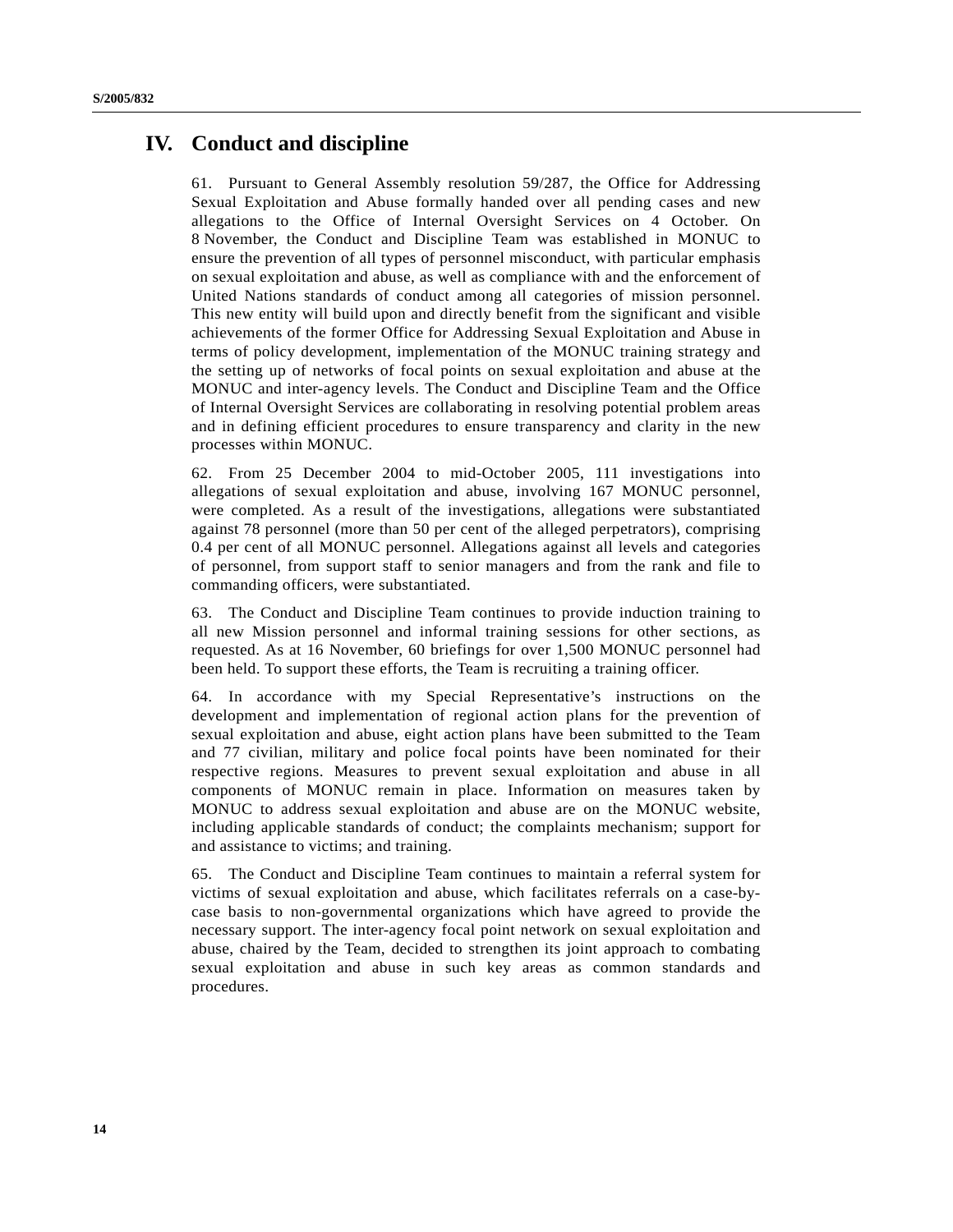# **IV. Conduct and discipline**

61. Pursuant to General Assembly resolution 59/287, the Office for Addressing Sexual Exploitation and Abuse formally handed over all pending cases and new allegations to the Office of Internal Oversight Services on 4 October. On 8 November, the Conduct and Discipline Team was established in MONUC to ensure the prevention of all types of personnel misconduct, with particular emphasis on sexual exploitation and abuse, as well as compliance with and the enforcement of United Nations standards of conduct among all categories of mission personnel. This new entity will build upon and directly benefit from the significant and visible achievements of the former Office for Addressing Sexual Exploitation and Abuse in terms of policy development, implementation of the MONUC training strategy and the setting up of networks of focal points on sexual exploitation and abuse at the MONUC and inter-agency levels. The Conduct and Discipline Team and the Office of Internal Oversight Services are collaborating in resolving potential problem areas and in defining efficient procedures to ensure transparency and clarity in the new processes within MONUC.

62. From 25 December 2004 to mid-October 2005, 111 investigations into allegations of sexual exploitation and abuse, involving 167 MONUC personnel, were completed. As a result of the investigations, allegations were substantiated against 78 personnel (more than 50 per cent of the alleged perpetrators), comprising 0.4 per cent of all MONUC personnel. Allegations against all levels and categories of personnel, from support staff to senior managers and from the rank and file to commanding officers, were substantiated.

63. The Conduct and Discipline Team continues to provide induction training to all new Mission personnel and informal training sessions for other sections, as requested. As at 16 November, 60 briefings for over 1,500 MONUC personnel had been held. To support these efforts, the Team is recruiting a training officer.

64. In accordance with my Special Representative's instructions on the development and implementation of regional action plans for the prevention of sexual exploitation and abuse, eight action plans have been submitted to the Team and 77 civilian, military and police focal points have been nominated for their respective regions. Measures to prevent sexual exploitation and abuse in all components of MONUC remain in place. Information on measures taken by MONUC to address sexual exploitation and abuse are on the MONUC website, including applicable standards of conduct; the complaints mechanism; support for and assistance to victims; and training.

65. The Conduct and Discipline Team continues to maintain a referral system for victims of sexual exploitation and abuse, which facilitates referrals on a case-bycase basis to non-governmental organizations which have agreed to provide the necessary support. The inter-agency focal point network on sexual exploitation and abuse, chaired by the Team, decided to strengthen its joint approach to combating sexual exploitation and abuse in such key areas as common standards and procedures.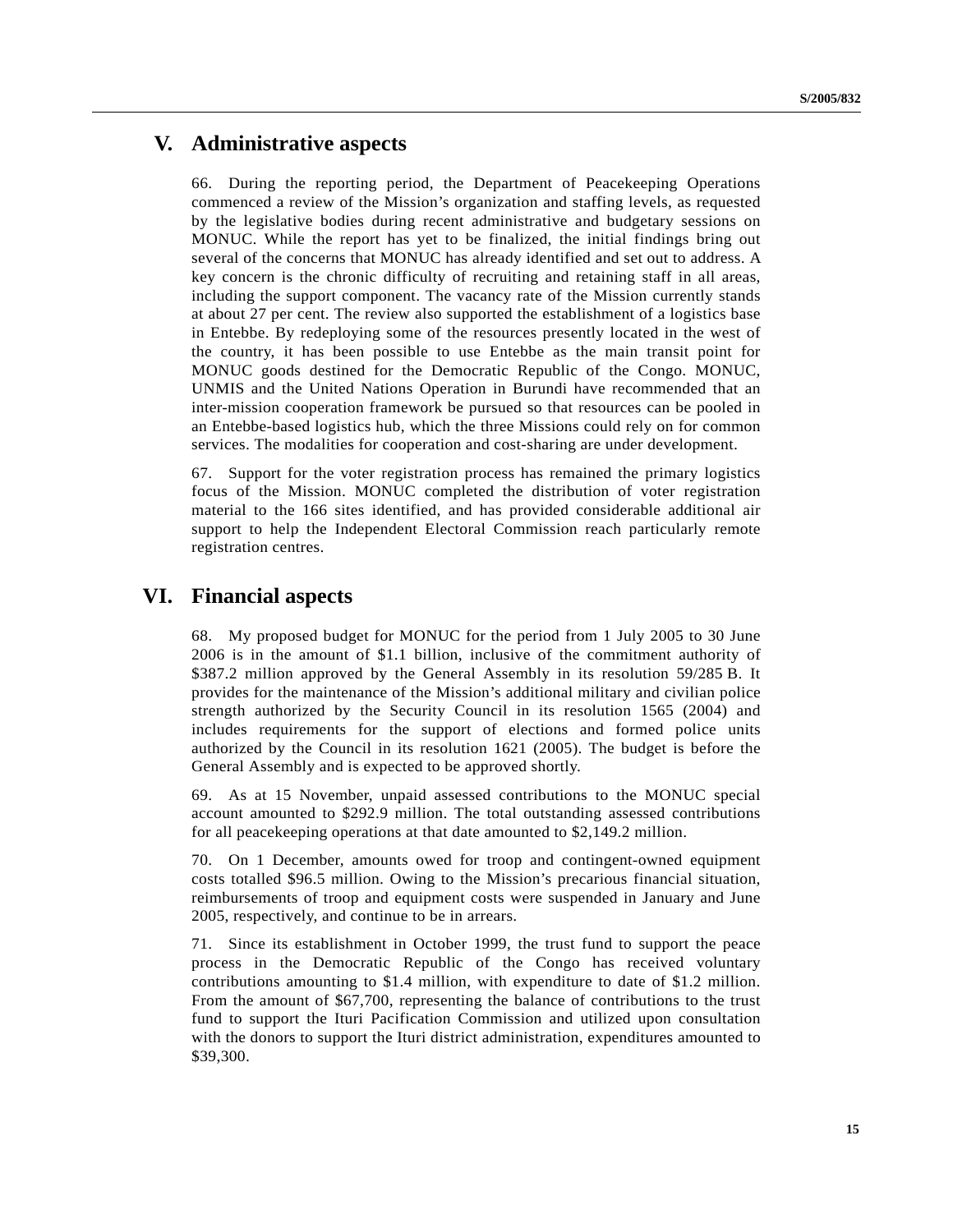# **V. Administrative aspects**

66. During the reporting period, the Department of Peacekeeping Operations commenced a review of the Mission's organization and staffing levels, as requested by the legislative bodies during recent administrative and budgetary sessions on MONUC. While the report has yet to be finalized, the initial findings bring out several of the concerns that MONUC has already identified and set out to address. A key concern is the chronic difficulty of recruiting and retaining staff in all areas, including the support component. The vacancy rate of the Mission currently stands at about 27 per cent. The review also supported the establishment of a logistics base in Entebbe. By redeploying some of the resources presently located in the west of the country, it has been possible to use Entebbe as the main transit point for MONUC goods destined for the Democratic Republic of the Congo. MONUC, UNMIS and the United Nations Operation in Burundi have recommended that an inter-mission cooperation framework be pursued so that resources can be pooled in an Entebbe-based logistics hub, which the three Missions could rely on for common services. The modalities for cooperation and cost-sharing are under development.

67. Support for the voter registration process has remained the primary logistics focus of the Mission. MONUC completed the distribution of voter registration material to the 166 sites identified, and has provided considerable additional air support to help the Independent Electoral Commission reach particularly remote registration centres.

# **VI. Financial aspects**

68. My proposed budget for MONUC for the period from 1 July 2005 to 30 June 2006 is in the amount of \$1.1 billion, inclusive of the commitment authority of \$387.2 million approved by the General Assembly in its resolution 59/285 B. It provides for the maintenance of the Mission's additional military and civilian police strength authorized by the Security Council in its resolution 1565 (2004) and includes requirements for the support of elections and formed police units authorized by the Council in its resolution 1621 (2005). The budget is before the General Assembly and is expected to be approved shortly.

69. As at 15 November, unpaid assessed contributions to the MONUC special account amounted to \$292.9 million. The total outstanding assessed contributions for all peacekeeping operations at that date amounted to \$2,149.2 million.

70. On 1 December, amounts owed for troop and contingent-owned equipment costs totalled \$96.5 million. Owing to the Mission's precarious financial situation, reimbursements of troop and equipment costs were suspended in January and June 2005, respectively, and continue to be in arrears.

71. Since its establishment in October 1999, the trust fund to support the peace process in the Democratic Republic of the Congo has received voluntary contributions amounting to \$1.4 million, with expenditure to date of \$1.2 million. From the amount of \$67,700, representing the balance of contributions to the trust fund to support the Ituri Pacification Commission and utilized upon consultation with the donors to support the Ituri district administration, expenditures amounted to \$39,300.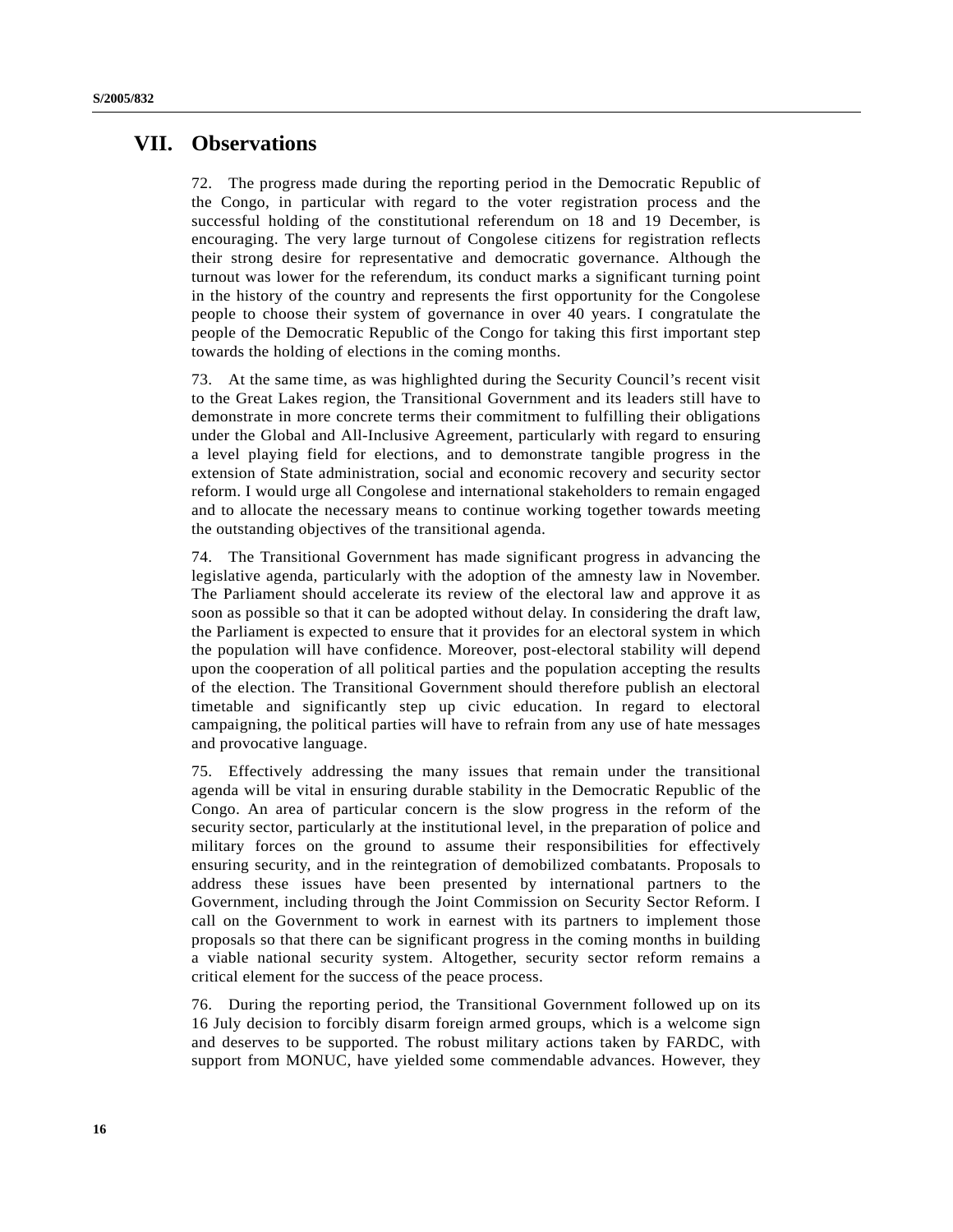# **VII. Observations**

72. The progress made during the reporting period in the Democratic Republic of the Congo, in particular with regard to the voter registration process and the successful holding of the constitutional referendum on 18 and 19 December, is encouraging. The very large turnout of Congolese citizens for registration reflects their strong desire for representative and democratic governance. Although the turnout was lower for the referendum, its conduct marks a significant turning point in the history of the country and represents the first opportunity for the Congolese people to choose their system of governance in over 40 years. I congratulate the people of the Democratic Republic of the Congo for taking this first important step towards the holding of elections in the coming months.

73. At the same time, as was highlighted during the Security Council's recent visit to the Great Lakes region, the Transitional Government and its leaders still have to demonstrate in more concrete terms their commitment to fulfilling their obligations under the Global and All-Inclusive Agreement, particularly with regard to ensuring a level playing field for elections, and to demonstrate tangible progress in the extension of State administration, social and economic recovery and security sector reform. I would urge all Congolese and international stakeholders to remain engaged and to allocate the necessary means to continue working together towards meeting the outstanding objectives of the transitional agenda.

74. The Transitional Government has made significant progress in advancing the legislative agenda, particularly with the adoption of the amnesty law in November. The Parliament should accelerate its review of the electoral law and approve it as soon as possible so that it can be adopted without delay. In considering the draft law, the Parliament is expected to ensure that it provides for an electoral system in which the population will have confidence. Moreover, post-electoral stability will depend upon the cooperation of all political parties and the population accepting the results of the election. The Transitional Government should therefore publish an electoral timetable and significantly step up civic education. In regard to electoral campaigning, the political parties will have to refrain from any use of hate messages and provocative language.

75. Effectively addressing the many issues that remain under the transitional agenda will be vital in ensuring durable stability in the Democratic Republic of the Congo. An area of particular concern is the slow progress in the reform of the security sector, particularly at the institutional level, in the preparation of police and military forces on the ground to assume their responsibilities for effectively ensuring security, and in the reintegration of demobilized combatants. Proposals to address these issues have been presented by international partners to the Government, including through the Joint Commission on Security Sector Reform. I call on the Government to work in earnest with its partners to implement those proposals so that there can be significant progress in the coming months in building a viable national security system. Altogether, security sector reform remains a critical element for the success of the peace process.

76. During the reporting period, the Transitional Government followed up on its 16 July decision to forcibly disarm foreign armed groups, which is a welcome sign and deserves to be supported. The robust military actions taken by FARDC, with support from MONUC, have yielded some commendable advances. However, they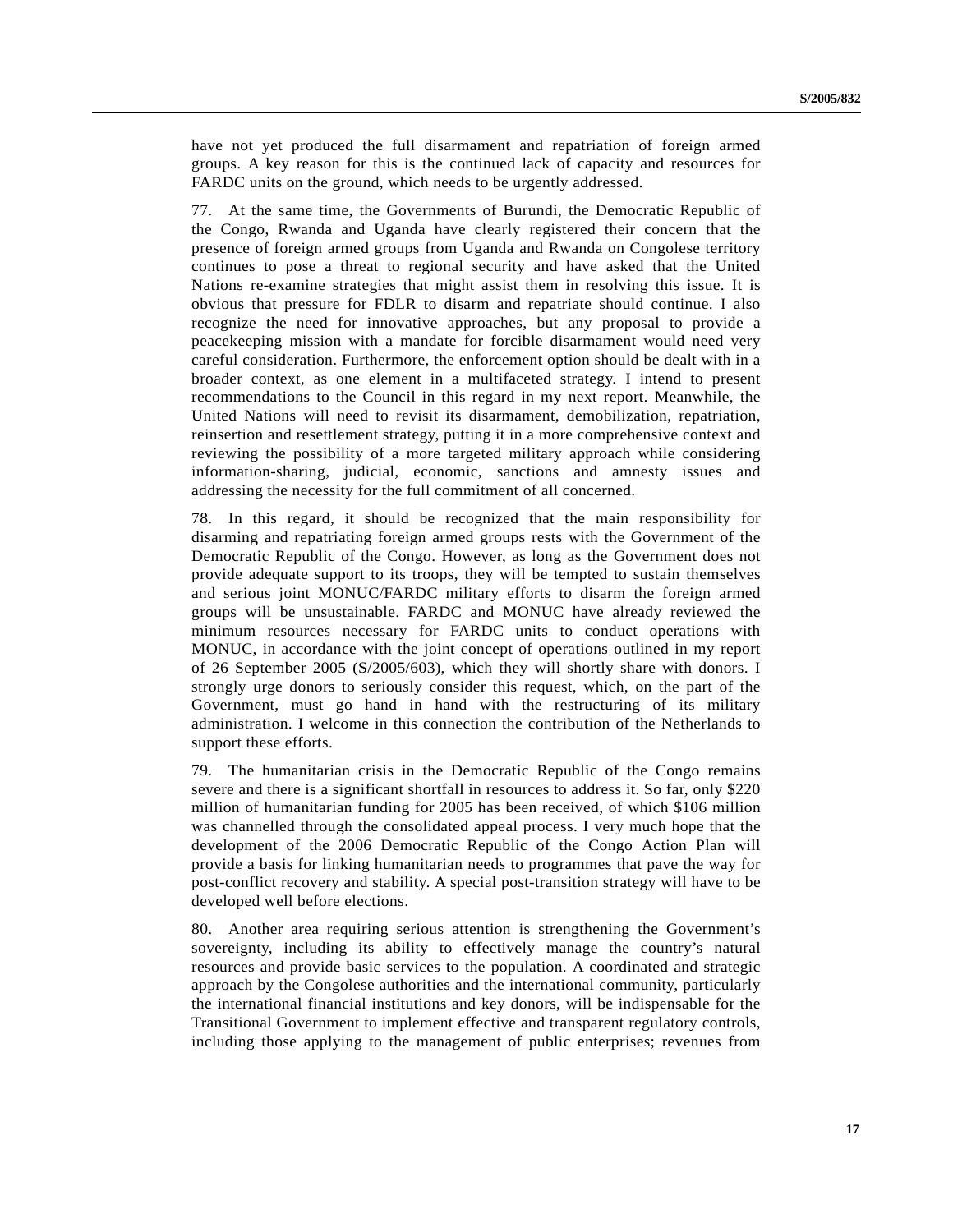have not yet produced the full disarmament and repatriation of foreign armed groups. A key reason for this is the continued lack of capacity and resources for FARDC units on the ground, which needs to be urgently addressed.

77. At the same time, the Governments of Burundi, the Democratic Republic of the Congo, Rwanda and Uganda have clearly registered their concern that the presence of foreign armed groups from Uganda and Rwanda on Congolese territory continues to pose a threat to regional security and have asked that the United Nations re-examine strategies that might assist them in resolving this issue. It is obvious that pressure for FDLR to disarm and repatriate should continue. I also recognize the need for innovative approaches, but any proposal to provide a peacekeeping mission with a mandate for forcible disarmament would need very careful consideration. Furthermore, the enforcement option should be dealt with in a broader context, as one element in a multifaceted strategy. I intend to present recommendations to the Council in this regard in my next report. Meanwhile, the United Nations will need to revisit its disarmament, demobilization, repatriation, reinsertion and resettlement strategy, putting it in a more comprehensive context and reviewing the possibility of a more targeted military approach while considering information-sharing, judicial, economic, sanctions and amnesty issues and addressing the necessity for the full commitment of all concerned.

78. In this regard, it should be recognized that the main responsibility for disarming and repatriating foreign armed groups rests with the Government of the Democratic Republic of the Congo. However, as long as the Government does not provide adequate support to its troops, they will be tempted to sustain themselves and serious joint MONUC/FARDC military efforts to disarm the foreign armed groups will be unsustainable. FARDC and MONUC have already reviewed the minimum resources necessary for FARDC units to conduct operations with MONUC, in accordance with the joint concept of operations outlined in my report of 26 September 2005 (S/2005/603), which they will shortly share with donors. I strongly urge donors to seriously consider this request, which, on the part of the Government, must go hand in hand with the restructuring of its military administration. I welcome in this connection the contribution of the Netherlands to support these efforts.

79. The humanitarian crisis in the Democratic Republic of the Congo remains severe and there is a significant shortfall in resources to address it. So far, only \$220 million of humanitarian funding for 2005 has been received, of which \$106 million was channelled through the consolidated appeal process. I very much hope that the development of the 2006 Democratic Republic of the Congo Action Plan will provide a basis for linking humanitarian needs to programmes that pave the way for post-conflict recovery and stability. A special post-transition strategy will have to be developed well before elections.

80. Another area requiring serious attention is strengthening the Government's sovereignty, including its ability to effectively manage the country's natural resources and provide basic services to the population. A coordinated and strategic approach by the Congolese authorities and the international community, particularly the international financial institutions and key donors, will be indispensable for the Transitional Government to implement effective and transparent regulatory controls, including those applying to the management of public enterprises; revenues from